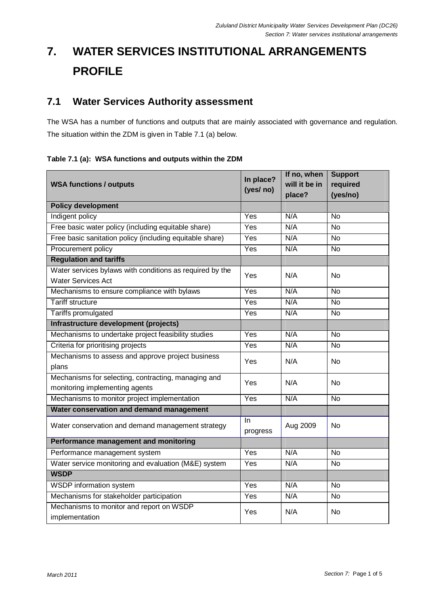# **7. WATER SERVICES INSTITUTIONAL ARRANGEMENTS PROFILE**

## **7.1 Water Services Authority assessment**

The WSA has a number of functions and outputs that are mainly associated with governance and regulation. The situation within the ZDM is given in Table 7.1 (a) below.

**Table 7.1 (a): WSA functions and outputs within the ZDM** 

|                                                            | In place?<br>(yes/ no) | If no, when   | <b>Support</b> |
|------------------------------------------------------------|------------------------|---------------|----------------|
| <b>WSA functions / outputs</b>                             |                        | will it be in | required       |
|                                                            |                        | place?        | (yes/no)       |
| <b>Policy development</b>                                  |                        |               |                |
| Indigent policy                                            | Yes                    | N/A           | <b>No</b>      |
| Free basic water policy (including equitable share)        | Yes                    | N/A           | <b>No</b>      |
| Free basic sanitation policy (including equitable share)   | Yes                    | N/A           | <b>No</b>      |
| Procurement policy                                         | Yes                    | N/A           | $\overline{N}$ |
| <b>Regulation and tariffs</b>                              |                        |               |                |
| Water services bylaws with conditions as required by the   | Yes                    | N/A           | <b>No</b>      |
| <b>Water Services Act</b>                                  |                        |               |                |
| Mechanisms to ensure compliance with bylaws                | Yes                    | N/A           | <b>No</b>      |
| <b>Tariff structure</b>                                    | Yes                    | N/A           | <b>No</b>      |
| <b>Tariffs promulgated</b>                                 | Yes                    | N/A           | <b>No</b>      |
| Infrastructure development (projects)                      |                        |               |                |
| Mechanisms to undertake project feasibility studies        | Yes                    | N/A           | <b>No</b>      |
| Criteria for prioritising projects                         | Yes                    | N/A           | <b>No</b>      |
| Mechanisms to assess and approve project business          | Yes                    | N/A           | <b>No</b>      |
| plans                                                      |                        |               |                |
| Mechanisms for selecting, contracting, managing and<br>Yes |                        | N/A           | <b>No</b>      |
| monitoring implementing agents                             |                        |               |                |
| Mechanisms to monitor project implementation               | Yes                    | N/A           | $\overline{N}$ |
| Water conservation and demand management                   |                        |               |                |
| Water conservation and demand management strategy          | In.<br>progress        | Aug 2009      | <b>No</b>      |
| <b>Performance management and monitoring</b>               |                        |               |                |
| Performance management system                              | Yes                    | N/A           | <b>No</b>      |
| Water service monitoring and evaluation (M&E) system       | Yes                    | N/A           | <b>No</b>      |
| <b>WSDP</b>                                                |                        |               |                |
| <b>WSDP</b> information system                             | Yes                    | N/A           | $\overline{N}$ |
| Mechanisms for stakeholder participation                   | Yes                    | N/A           | <b>No</b>      |
| Mechanisms to monitor and report on WSDP                   | Yes                    | N/A           | <b>No</b>      |
| implementation                                             |                        |               |                |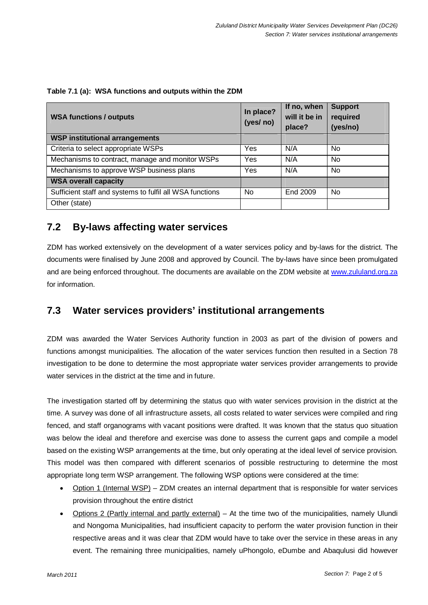| <b>WSA functions / outputs</b>                           | In place?<br>(yes/ no) | If no, when<br>will it be in<br>place? | <b>Support</b><br>required<br>(yes/no) |
|----------------------------------------------------------|------------------------|----------------------------------------|----------------------------------------|
| <b>WSP institutional arrangements</b>                    |                        |                                        |                                        |
| Criteria to select appropriate WSPs                      | Yes                    | N/A                                    | N <sub>0</sub>                         |
| Mechanisms to contract, manage and monitor WSPs          | Yes                    | N/A                                    | N <sub>0</sub>                         |
| Mechanisms to approve WSP business plans                 | Yes                    | N/A                                    | No                                     |
| <b>WSA overall capacity</b>                              |                        |                                        |                                        |
| Sufficient staff and systems to fulfil all WSA functions | No                     | End 2009                               | N <sub>0</sub>                         |
| Other (state)                                            |                        |                                        |                                        |

| Table 7.1 (a): WSA functions and outputs within the ZDM |
|---------------------------------------------------------|
|---------------------------------------------------------|

### **7.2 By-laws affecting water services**

ZDM has worked extensively on the development of a water services policy and by-laws for the district. The documents were finalised by June 2008 and approved by Council. The by-laws have since been promulgated and are being enforced throughout. The documents are available on the ZDM website at www.zululand.org.za for information.

### **7.3 Water services providers' institutional arrangements**

ZDM was awarded the Water Services Authority function in 2003 as part of the division of powers and functions amongst municipalities. The allocation of the water services function then resulted in a Section 78 investigation to be done to determine the most appropriate water services provider arrangements to provide water services in the district at the time and in future.

The investigation started off by determining the status quo with water services provision in the district at the time. A survey was done of all infrastructure assets, all costs related to water services were compiled and ring fenced, and staff organograms with vacant positions were drafted. It was known that the status quo situation was below the ideal and therefore and exercise was done to assess the current gaps and compile a model based on the existing WSP arrangements at the time, but only operating at the ideal level of service provision. This model was then compared with different scenarios of possible restructuring to determine the most appropriate long term WSP arrangement. The following WSP options were considered at the time:

- Option 1 (Internal WSP) ZDM creates an internal department that is responsible for water services provision throughout the entire district
- Options 2 (Partly internal and partly external) At the time two of the municipalities, namely Ulundi and Nongoma Municipalities, had insufficient capacity to perform the water provision function in their respective areas and it was clear that ZDM would have to take over the service in these areas in any event. The remaining three municipalities, namely uPhongolo, eDumbe and Abaqulusi did however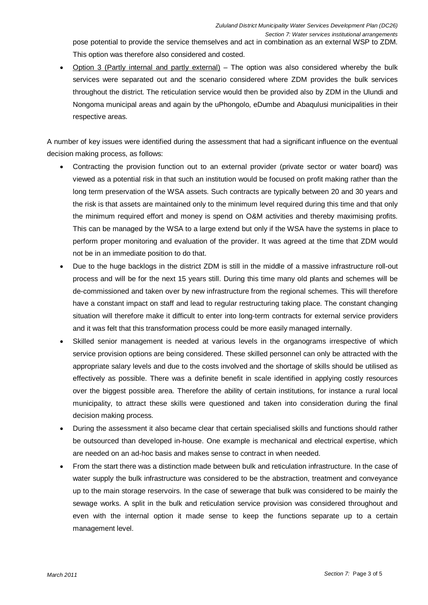pose potential to provide the service themselves and act in combination as an external WSP to ZDM. This option was therefore also considered and costed.

• Option 3 (Partly internal and partly external) – The option was also considered whereby the bulk services were separated out and the scenario considered where ZDM provides the bulk services throughout the district. The reticulation service would then be provided also by ZDM in the Ulundi and Nongoma municipal areas and again by the uPhongolo, eDumbe and Abaqulusi municipalities in their respective areas.

A number of key issues were identified during the assessment that had a significant influence on the eventual decision making process, as follows:

- Contracting the provision function out to an external provider (private sector or water board) was viewed as a potential risk in that such an institution would be focused on profit making rather than the long term preservation of the WSA assets. Such contracts are typically between 20 and 30 years and the risk is that assets are maintained only to the minimum level required during this time and that only the minimum required effort and money is spend on O&M activities and thereby maximising profits. This can be managed by the WSA to a large extend but only if the WSA have the systems in place to perform proper monitoring and evaluation of the provider. It was agreed at the time that ZDM would not be in an immediate position to do that.
- Due to the huge backlogs in the district ZDM is still in the middle of a massive infrastructure roll-out process and will be for the next 15 years still. During this time many old plants and schemes will be de-commissioned and taken over by new infrastructure from the regional schemes. This will therefore have a constant impact on staff and lead to regular restructuring taking place. The constant changing situation will therefore make it difficult to enter into long-term contracts for external service providers and it was felt that this transformation process could be more easily managed internally.
- Skilled senior management is needed at various levels in the organograms irrespective of which service provision options are being considered. These skilled personnel can only be attracted with the appropriate salary levels and due to the costs involved and the shortage of skills should be utilised as effectively as possible. There was a definite benefit in scale identified in applying costly resources over the biggest possible area. Therefore the ability of certain institutions, for instance a rural local municipality, to attract these skills were questioned and taken into consideration during the final decision making process.
- During the assessment it also became clear that certain specialised skills and functions should rather be outsourced than developed in-house. One example is mechanical and electrical expertise, which are needed on an ad-hoc basis and makes sense to contract in when needed.
- From the start there was a distinction made between bulk and reticulation infrastructure. In the case of water supply the bulk infrastructure was considered to be the abstraction, treatment and conveyance up to the main storage reservoirs. In the case of sewerage that bulk was considered to be mainly the sewage works. A split in the bulk and reticulation service provision was considered throughout and even with the internal option it made sense to keep the functions separate up to a certain management level.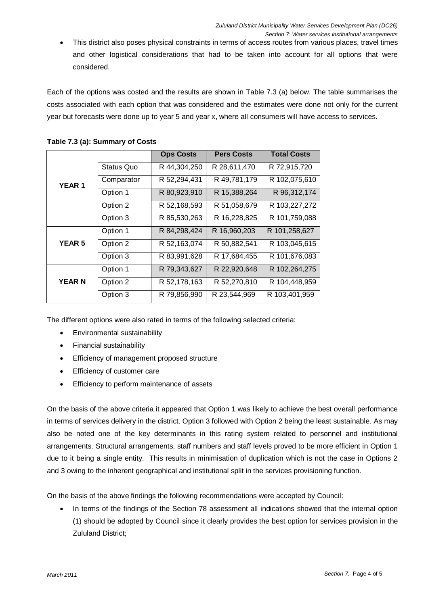- Section 7: Water services institutional arrangements
- This district also poses physical constraints in terms of access routes from various places, travel times and other logistical considerations that had to be taken into account for all options that were considered.

Each of the options was costed and the results are shown in Table 7.3 (a) below. The table summarises the costs associated with each option that was considered and the estimates were done not only for the current year but forecasts were done up to year 5 and year x, where all consumers will have access to services.

|               |                   | <b>Ops Costs</b> | <b>Pers Costs</b> | <b>Total Costs</b> |
|---------------|-------------------|------------------|-------------------|--------------------|
| <b>YEAR 1</b> | <b>Status Quo</b> | R 44,304,250     | R 28,611,470      | R 72,915,720       |
|               | Comparator        | R 52,294,431     | R 49,781,179      | R 102,075,610      |
|               | Option 1          | R 80,923,910     | R 15,388,264      | R 96,312,174       |
|               | Option 2          | R 52,168,593     | R 51,058,679      | R 103,227,272      |
|               | Option 3          | R 85,530,263     | R 16,228,825      | R 101,759,088      |
|               | Option 1          | R 84,298,424     | R 16,960,203      | R 101,258,627      |
| <b>YEAR 5</b> | Option 2          | R 52,163,074     | R 50,882,541      | R 103,045,615      |
|               | Option 3          | R 83,991,628     | R 17,684,455      | R 101,676,083      |
|               | Option 1          | R 79,343,627     | R 22,920,648      | R 102,264,275      |
| <b>YEARN</b>  | Option 2          | R 52,178,163     | R 52,270,810      | R 104,448,959      |
|               | Option 3          | R 79,856,990     | R 23,544,969      | R 103,401,959      |

#### **Table 7.3 (a): Summary of Costs**

The different options were also rated in terms of the following selected criteria:

- Environmental sustainability
- Financial sustainability
- Efficiency of management proposed structure
- Efficiency of customer care
- Efficiency to perform maintenance of assets

On the basis of the above criteria it appeared that Option 1 was likely to achieve the best overall performance in terms of services delivery in the district. Option 3 followed with Option 2 being the least sustainable. As may also be noted one of the key determinants in this rating system related to personnel and institutional arrangements. Structural arrangements, staff numbers and staff levels proved to be more efficient in Option 1 due to it being a single entity. This results in minimisation of duplication which is not the case in Options 2 and 3 owing to the inherent geographical and institutional split in the services provisioning function.

On the basis of the above findings the following recommendations were accepted by Council:

• In terms of the findings of the Section 78 assessment all indications showed that the internal option (1) should be adopted by Council since it clearly provides the best option for services provision in the Zululand District;